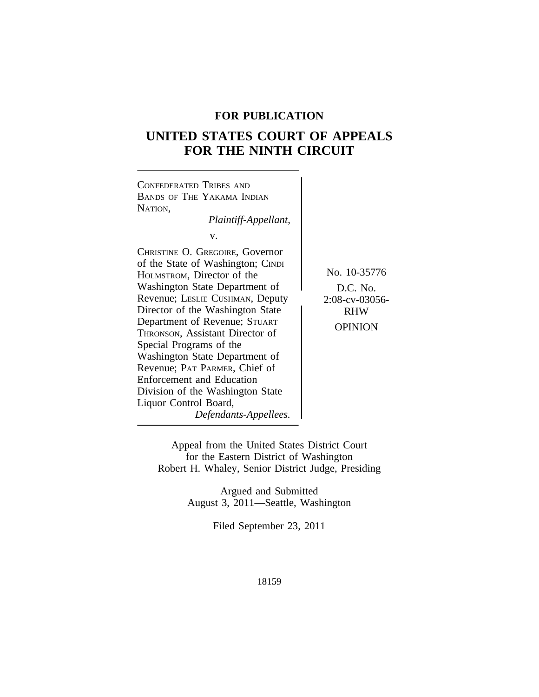## **FOR PUBLICATION**

# **UNITED STATES COURT OF APPEALS FOR THE NINTH CIRCUIT**



Appeal from the United States District Court for the Eastern District of Washington Robert H. Whaley, Senior District Judge, Presiding

> Argued and Submitted August 3, 2011—Seattle, Washington

> > Filed September 23, 2011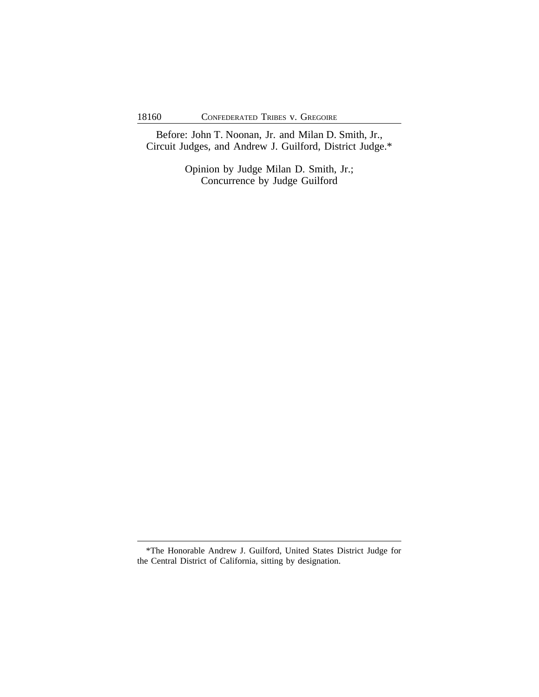Before: John T. Noonan, Jr. and Milan D. Smith, Jr., Circuit Judges, and Andrew J. Guilford, District Judge.\*

> Opinion by Judge Milan D. Smith, Jr.; Concurrence by Judge Guilford

<sup>\*</sup>The Honorable Andrew J. Guilford, United States District Judge for the Central District of California, sitting by designation.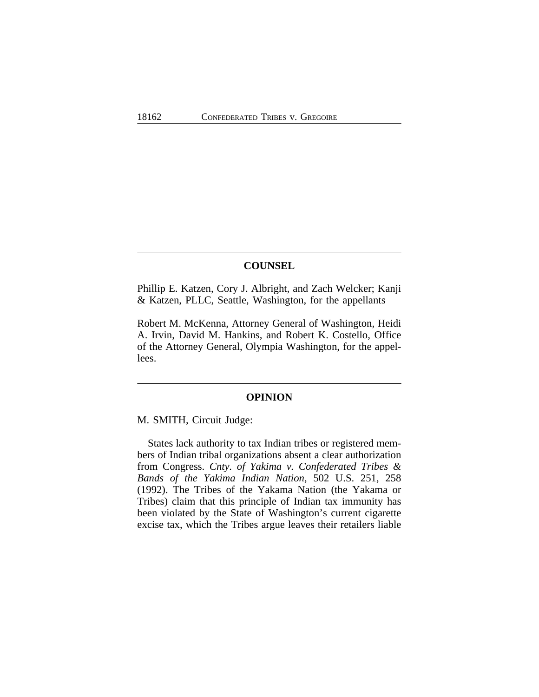## **COUNSEL**

Phillip E. Katzen, Cory J. Albright, and Zach Welcker; Kanji & Katzen, PLLC, Seattle, Washington, for the appellants

Robert M. McKenna, Attorney General of Washington, Heidi A. Irvin, David M. Hankins, and Robert K. Costello, Office of the Attorney General, Olympia Washington, for the appellees.

## **OPINION**

M. SMITH, Circuit Judge:

States lack authority to tax Indian tribes or registered members of Indian tribal organizations absent a clear authorization from Congress. *Cnty. of Yakima v. Confederated Tribes & Bands of the Yakima Indian Nation*, 502 U.S. 251, 258 (1992). The Tribes of the Yakama Nation (the Yakama or Tribes) claim that this principle of Indian tax immunity has been violated by the State of Washington's current cigarette excise tax, which the Tribes argue leaves their retailers liable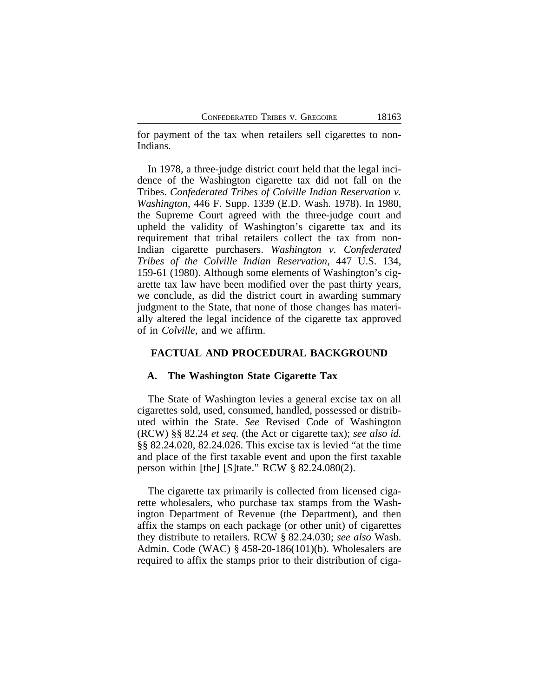for payment of the tax when retailers sell cigarettes to non-Indians.

In 1978, a three-judge district court held that the legal incidence of the Washington cigarette tax did not fall on the Tribes. *Confederated Tribes of Colville Indian Reservation v. Washington*, 446 F. Supp. 1339 (E.D. Wash. 1978). In 1980, the Supreme Court agreed with the three-judge court and upheld the validity of Washington's cigarette tax and its requirement that tribal retailers collect the tax from non-Indian cigarette purchasers. *Washington v. Confederated Tribes of the Colville Indian Reservation*, 447 U.S. 134, 159-61 (1980). Although some elements of Washington's cigarette tax law have been modified over the past thirty years, we conclude, as did the district court in awarding summary judgment to the State, that none of those changes has materially altered the legal incidence of the cigarette tax approved of in *Colville*, and we affirm.

## **FACTUAL AND PROCEDURAL BACKGROUND**

#### **A. The Washington State Cigarette Tax**

The State of Washington levies a general excise tax on all cigarettes sold, used, consumed, handled, possessed or distributed within the State. *See* Revised Code of Washington (RCW) §§ 82.24 *et seq.* (the Act or cigarette tax); *see also id.* §§ 82.24.020, 82.24.026. This excise tax is levied "at the time and place of the first taxable event and upon the first taxable person within [the] [S]tate." RCW § 82.24.080(2).

The cigarette tax primarily is collected from licensed cigarette wholesalers, who purchase tax stamps from the Washington Department of Revenue (the Department), and then affix the stamps on each package (or other unit) of cigarettes they distribute to retailers. RCW § 82.24.030; *see also* Wash. Admin. Code (WAC) § 458-20-186(101)(b). Wholesalers are required to affix the stamps prior to their distribution of ciga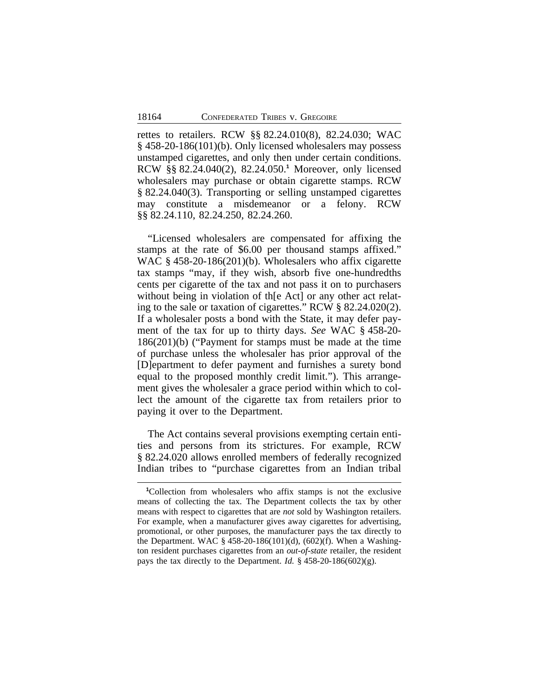rettes to retailers. RCW §§ 82.24.010(8), 82.24.030; WAC § 458-20-186(101)(b). Only licensed wholesalers may possess unstamped cigarettes, and only then under certain conditions. RCW §§ 82.24.040(2), 82.24.050.**<sup>1</sup>** Moreover, only licensed wholesalers may purchase or obtain cigarette stamps. RCW § 82.24.040(3). Transporting or selling unstamped cigarettes may constitute a misdemeanor or a felony. RCW §§ 82.24.110, 82.24.250, 82.24.260.

"Licensed wholesalers are compensated for affixing the stamps at the rate of \$6.00 per thousand stamps affixed." WAC § 458-20-186(201)(b). Wholesalers who affix cigarette tax stamps "may, if they wish, absorb five one-hundredths cents per cigarette of the tax and not pass it on to purchasers without being in violation of the Act or any other act relating to the sale or taxation of cigarettes." RCW § 82.24.020(2). If a wholesaler posts a bond with the State, it may defer payment of the tax for up to thirty days. *See* WAC § 458-20- 186(201)(b) ("Payment for stamps must be made at the time of purchase unless the wholesaler has prior approval of the [D]epartment to defer payment and furnishes a surety bond equal to the proposed monthly credit limit."). This arrangement gives the wholesaler a grace period within which to collect the amount of the cigarette tax from retailers prior to paying it over to the Department.

The Act contains several provisions exempting certain entities and persons from its strictures. For example, RCW § 82.24.020 allows enrolled members of federally recognized Indian tribes to "purchase cigarettes from an Indian tribal

**<sup>1</sup>**Collection from wholesalers who affix stamps is not the exclusive means of collecting the tax. The Department collects the tax by other means with respect to cigarettes that are *not* sold by Washington retailers. For example, when a manufacturer gives away cigarettes for advertising, promotional, or other purposes, the manufacturer pays the tax directly to the Department. WAC § 458-20-186(101)(d), (602)(f). When a Washington resident purchases cigarettes from an *out-of-state* retailer, the resident pays the tax directly to the Department. *Id.* § 458-20-186(602)(g).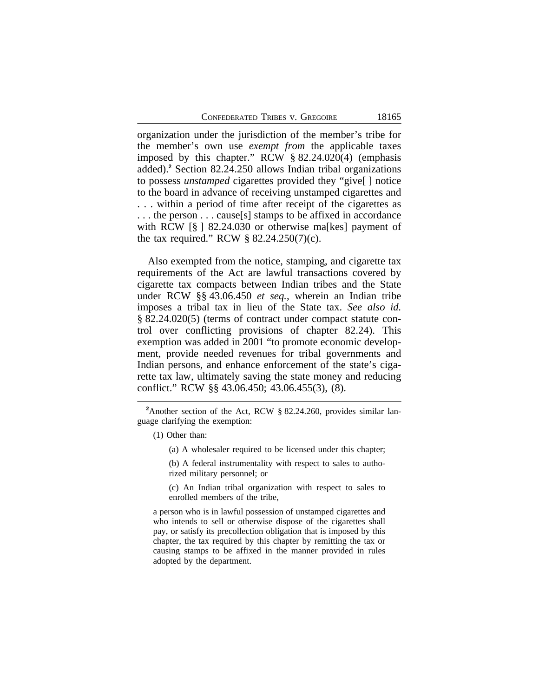organization under the jurisdiction of the member's tribe for the member's own use *exempt from* the applicable taxes imposed by this chapter." RCW § 82.24.020(4) (emphasis added).**<sup>2</sup>** Section 82.24.250 allows Indian tribal organizations to possess *unstamped* cigarettes provided they "give[ ] notice to the board in advance of receiving unstamped cigarettes and . . . within a period of time after receipt of the cigarettes as . . . the person . . . cause[s] stamps to be affixed in accordance with RCW [§ ] 82.24.030 or otherwise malkes] payment of the tax required." RCW  $\S$  82.24.250(7)(c).

Also exempted from the notice, stamping, and cigarette tax requirements of the Act are lawful transactions covered by cigarette tax compacts between Indian tribes and the State under RCW §§ 43.06.450 *et seq.*, wherein an Indian tribe imposes a tribal tax in lieu of the State tax. *See also id.* § 82.24.020(5) (terms of contract under compact statute control over conflicting provisions of chapter 82.24). This exemption was added in 2001 "to promote economic development, provide needed revenues for tribal governments and Indian persons, and enhance enforcement of the state's cigarette tax law, ultimately saving the state money and reducing conflict." RCW §§ 43.06.450; 43.06.455(3), (8).

(c) An Indian tribal organization with respect to sales to enrolled members of the tribe,

a person who is in lawful possession of unstamped cigarettes and who intends to sell or otherwise dispose of the cigarettes shall pay, or satisfy its precollection obligation that is imposed by this chapter, the tax required by this chapter by remitting the tax or causing stamps to be affixed in the manner provided in rules adopted by the department.

**<sup>2</sup>**Another section of the Act, RCW § 82.24.260, provides similar language clarifying the exemption:

<sup>(1)</sup> Other than:

<sup>(</sup>a) A wholesaler required to be licensed under this chapter;

<sup>(</sup>b) A federal instrumentality with respect to sales to authorized military personnel; or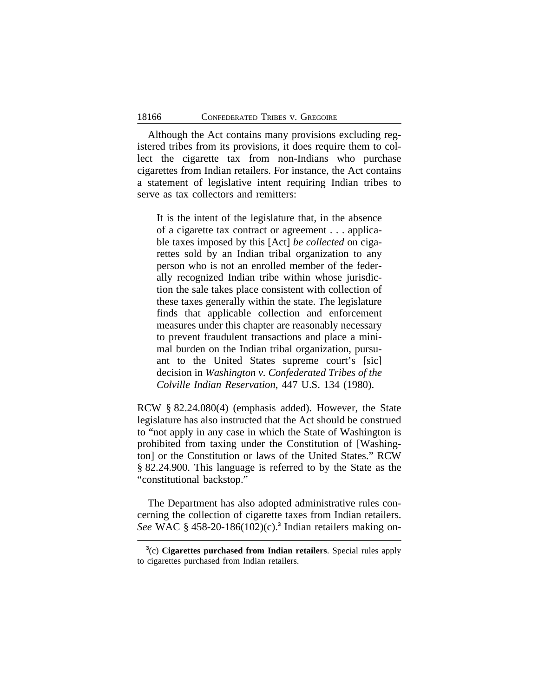Although the Act contains many provisions excluding registered tribes from its provisions, it does require them to collect the cigarette tax from non-Indians who purchase cigarettes from Indian retailers. For instance, the Act contains a statement of legislative intent requiring Indian tribes to serve as tax collectors and remitters:

It is the intent of the legislature that, in the absence of a cigarette tax contract or agreement . . . applicable taxes imposed by this [Act] *be collected* on cigarettes sold by an Indian tribal organization to any person who is not an enrolled member of the federally recognized Indian tribe within whose jurisdiction the sale takes place consistent with collection of these taxes generally within the state. The legislature finds that applicable collection and enforcement measures under this chapter are reasonably necessary to prevent fraudulent transactions and place a minimal burden on the Indian tribal organization, pursuant to the United States supreme court's [sic] decision in *Washington v. Confederated Tribes of the Colville Indian Reservation*, 447 U.S. 134 (1980).

RCW § 82.24.080(4) (emphasis added). However, the State legislature has also instructed that the Act should be construed to "not apply in any case in which the State of Washington is prohibited from taxing under the Constitution of [Washington] or the Constitution or laws of the United States." RCW § 82.24.900. This language is referred to by the State as the "constitutional backstop."

The Department has also adopted administrative rules concerning the collection of cigarette taxes from Indian retailers. *See* WAC § 458-20-186(102)(c).**<sup>3</sup>** Indian retailers making on-

**<sup>3</sup>** (c) **Cigarettes purchased from Indian retailers**. Special rules apply to cigarettes purchased from Indian retailers.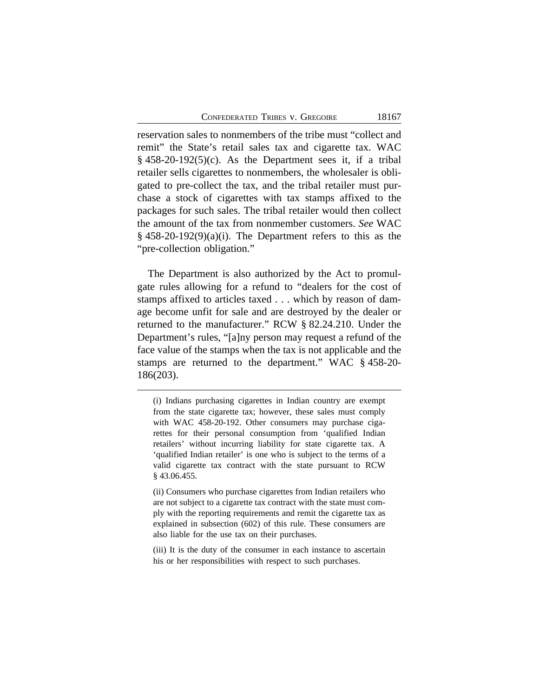CONFEDERATED TRIBES V. GREGOIRE 18167

reservation sales to nonmembers of the tribe must "collect and remit" the State's retail sales tax and cigarette tax. WAC  $§$  458-20-192(5)(c). As the Department sees it, if a tribal retailer sells cigarettes to nonmembers, the wholesaler is obligated to pre-collect the tax, and the tribal retailer must purchase a stock of cigarettes with tax stamps affixed to the packages for such sales. The tribal retailer would then collect the amount of the tax from nonmember customers. *See* WAC  $§$  458-20-192(9)(a)(i). The Department refers to this as the "pre-collection obligation."

The Department is also authorized by the Act to promulgate rules allowing for a refund to "dealers for the cost of stamps affixed to articles taxed . . . which by reason of damage become unfit for sale and are destroyed by the dealer or returned to the manufacturer." RCW § 82.24.210. Under the Department's rules, "[a]ny person may request a refund of the face value of the stamps when the tax is not applicable and the stamps are returned to the department." WAC § 458-20- 186(203).

<sup>(</sup>i) Indians purchasing cigarettes in Indian country are exempt from the state cigarette tax; however, these sales must comply with WAC 458-20-192. Other consumers may purchase cigarettes for their personal consumption from 'qualified Indian retailers' without incurring liability for state cigarette tax. A 'qualified Indian retailer' is one who is subject to the terms of a valid cigarette tax contract with the state pursuant to RCW § 43.06.455.

<sup>(</sup>ii) Consumers who purchase cigarettes from Indian retailers who are not subject to a cigarette tax contract with the state must comply with the reporting requirements and remit the cigarette tax as explained in subsection (602) of this rule. These consumers are also liable for the use tax on their purchases.

<sup>(</sup>iii) It is the duty of the consumer in each instance to ascertain his or her responsibilities with respect to such purchases.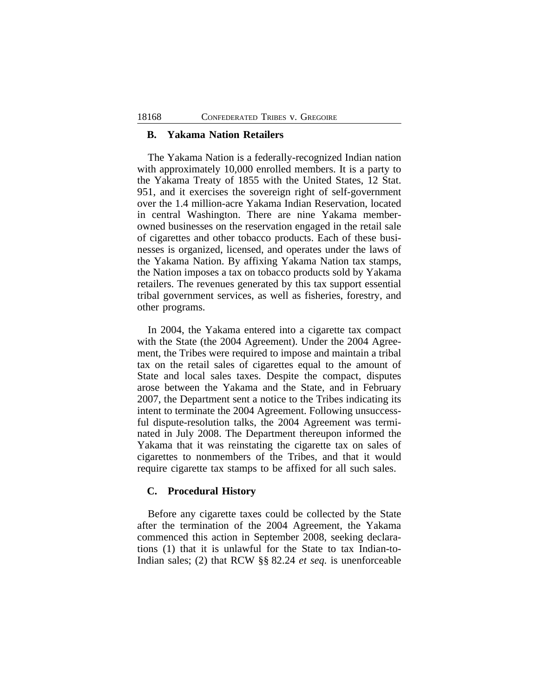#### **B. Yakama Nation Retailers**

The Yakama Nation is a federally-recognized Indian nation with approximately 10,000 enrolled members. It is a party to the Yakama Treaty of 1855 with the United States, 12 Stat. 951, and it exercises the sovereign right of self-government over the 1.4 million-acre Yakama Indian Reservation, located in central Washington. There are nine Yakama memberowned businesses on the reservation engaged in the retail sale of cigarettes and other tobacco products. Each of these businesses is organized, licensed, and operates under the laws of the Yakama Nation. By affixing Yakama Nation tax stamps, the Nation imposes a tax on tobacco products sold by Yakama retailers. The revenues generated by this tax support essential tribal government services, as well as fisheries, forestry, and other programs.

In 2004, the Yakama entered into a cigarette tax compact with the State (the 2004 Agreement). Under the 2004 Agreement, the Tribes were required to impose and maintain a tribal tax on the retail sales of cigarettes equal to the amount of State and local sales taxes. Despite the compact, disputes arose between the Yakama and the State, and in February 2007, the Department sent a notice to the Tribes indicating its intent to terminate the 2004 Agreement. Following unsuccessful dispute-resolution talks, the 2004 Agreement was terminated in July 2008. The Department thereupon informed the Yakama that it was reinstating the cigarette tax on sales of cigarettes to nonmembers of the Tribes, and that it would require cigarette tax stamps to be affixed for all such sales.

## **C. Procedural History**

Before any cigarette taxes could be collected by the State after the termination of the 2004 Agreement, the Yakama commenced this action in September 2008, seeking declarations (1) that it is unlawful for the State to tax Indian-to-Indian sales; (2) that RCW §§ 82.24 *et seq.* is unenforceable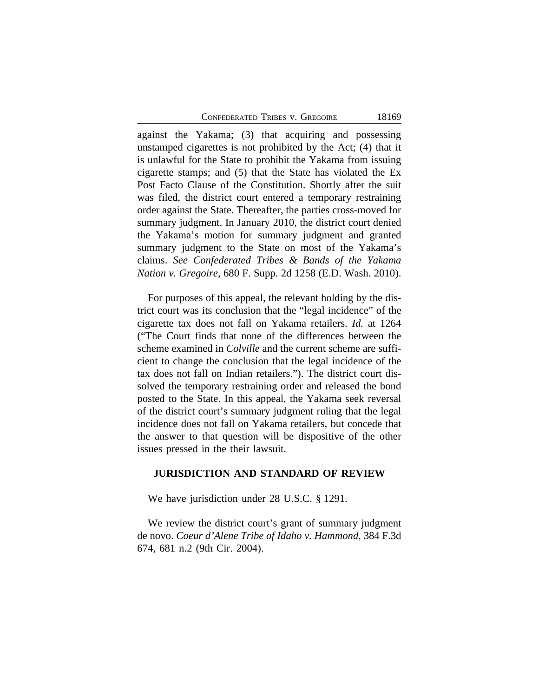against the Yakama; (3) that acquiring and possessing unstamped cigarettes is not prohibited by the Act; (4) that it is unlawful for the State to prohibit the Yakama from issuing cigarette stamps; and (5) that the State has violated the Ex Post Facto Clause of the Constitution. Shortly after the suit was filed, the district court entered a temporary restraining order against the State. Thereafter, the parties cross-moved for summary judgment. In January 2010, the district court denied the Yakama's motion for summary judgment and granted summary judgment to the State on most of the Yakama's claims. *See Confederated Tribes & Bands of the Yakama Nation v. Gregoire*, 680 F. Supp. 2d 1258 (E.D. Wash. 2010).

For purposes of this appeal, the relevant holding by the district court was its conclusion that the "legal incidence" of the cigarette tax does not fall on Yakama retailers. *Id.* at 1264 ("The Court finds that none of the differences between the scheme examined in *Colville* and the current scheme are sufficient to change the conclusion that the legal incidence of the tax does not fall on Indian retailers."). The district court dissolved the temporary restraining order and released the bond posted to the State. In this appeal, the Yakama seek reversal of the district court's summary judgment ruling that the legal incidence does not fall on Yakama retailers, but concede that the answer to that question will be dispositive of the other issues pressed in the their lawsuit.

## **JURISDICTION AND STANDARD OF REVIEW**

We have jurisdiction under 28 U.S.C. § 1291.

We review the district court's grant of summary judgment de novo. *Coeur d'Alene Tribe of Idaho v. Hammond*, 384 F.3d 674, 681 n.2 (9th Cir. 2004).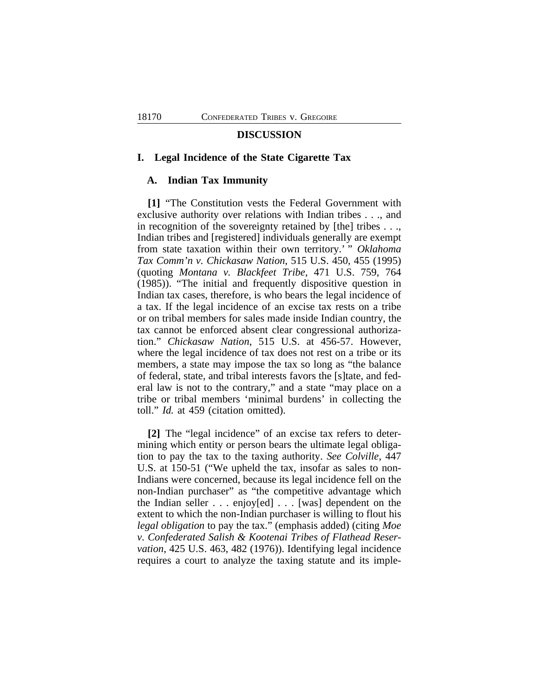#### **DISCUSSION**

#### **I. Legal Incidence of the State Cigarette Tax**

#### **A. Indian Tax Immunity**

**[1]** "The Constitution vests the Federal Government with exclusive authority over relations with Indian tribes . . ., and in recognition of the sovereignty retained by [the] tribes . . ., Indian tribes and [registered] individuals generally are exempt from state taxation within their own territory.' " *Oklahoma Tax Comm'n v. Chickasaw Nation*, 515 U.S. 450, 455 (1995) (quoting *Montana v. Blackfeet Tribe*, 471 U.S. 759, 764 (1985)). "The initial and frequently dispositive question in Indian tax cases, therefore, is who bears the legal incidence of a tax. If the legal incidence of an excise tax rests on a tribe or on tribal members for sales made inside Indian country, the tax cannot be enforced absent clear congressional authorization." *Chickasaw Nation*, 515 U.S. at 456-57. However, where the legal incidence of tax does not rest on a tribe or its members, a state may impose the tax so long as "the balance of federal, state, and tribal interests favors the [s]tate, and federal law is not to the contrary," and a state "may place on a tribe or tribal members 'minimal burdens' in collecting the toll." *Id.* at 459 (citation omitted).

**[2]** The "legal incidence" of an excise tax refers to determining which entity or person bears the ultimate legal obligation to pay the tax to the taxing authority. *See Colville*, 447 U.S. at 150-51 ("We upheld the tax, insofar as sales to non-Indians were concerned, because its legal incidence fell on the non-Indian purchaser" as "the competitive advantage which the Indian seller . . . enjoy[ed] . . . [was] dependent on the extent to which the non-Indian purchaser is willing to flout his *legal obligation* to pay the tax." (emphasis added) (citing *Moe v. Confederated Salish & Kootenai Tribes of Flathead Reservation*, 425 U.S. 463, 482 (1976)). Identifying legal incidence requires a court to analyze the taxing statute and its imple-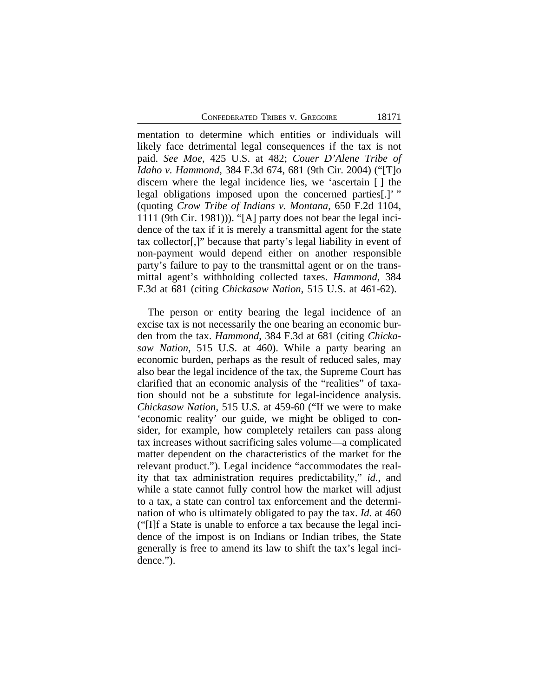mentation to determine which entities or individuals will likely face detrimental legal consequences if the tax is not paid. *See Moe*, 425 U.S. at 482; *Couer D'Alene Tribe of Idaho v. Hammond*, 384 F.3d 674, 681 (9th Cir. 2004) ("[T]o discern where the legal incidence lies, we 'ascertain [ ] the legal obligations imposed upon the concerned parties[.]'" (quoting *Crow Tribe of Indians v. Montana*, 650 F.2d 1104, 1111 (9th Cir. 1981))). "[A] party does not bear the legal incidence of the tax if it is merely a transmittal agent for the state tax collector[,]" because that party's legal liability in event of non-payment would depend either on another responsible party's failure to pay to the transmittal agent or on the transmittal agent's withholding collected taxes. *Hammond*, 384 F.3d at 681 (citing *Chickasaw Nation*, 515 U.S. at 461-62).

The person or entity bearing the legal incidence of an excise tax is not necessarily the one bearing an economic burden from the tax. *Hammond*, 384 F.3d at 681 (citing *Chickasaw Nation*, 515 U.S. at 460). While a party bearing an economic burden, perhaps as the result of reduced sales, may also bear the legal incidence of the tax, the Supreme Court has clarified that an economic analysis of the "realities" of taxation should not be a substitute for legal-incidence analysis. *Chickasaw Nation*, 515 U.S. at 459-60 ("If we were to make 'economic reality' our guide, we might be obliged to consider, for example, how completely retailers can pass along tax increases without sacrificing sales volume—a complicated matter dependent on the characteristics of the market for the relevant product."). Legal incidence "accommodates the reality that tax administration requires predictability," *id.*, and while a state cannot fully control how the market will adjust to a tax, a state can control tax enforcement and the determination of who is ultimately obligated to pay the tax. *Id.* at 460 ("[I]f a State is unable to enforce a tax because the legal incidence of the impost is on Indians or Indian tribes, the State generally is free to amend its law to shift the tax's legal incidence.").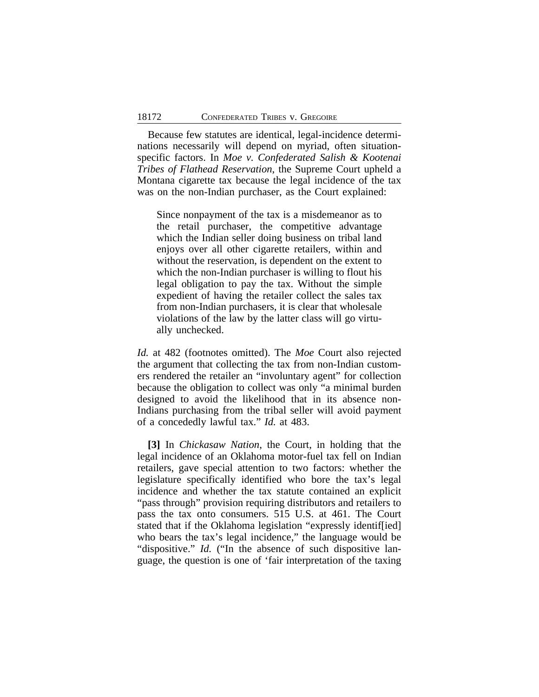Because few statutes are identical, legal-incidence determinations necessarily will depend on myriad, often situationspecific factors. In *Moe v. Confederated Salish & Kootenai Tribes of Flathead Reservation*, the Supreme Court upheld a Montana cigarette tax because the legal incidence of the tax was on the non-Indian purchaser, as the Court explained:

Since nonpayment of the tax is a misdemeanor as to the retail purchaser, the competitive advantage which the Indian seller doing business on tribal land enjoys over all other cigarette retailers, within and without the reservation, is dependent on the extent to which the non-Indian purchaser is willing to flout his legal obligation to pay the tax. Without the simple expedient of having the retailer collect the sales tax from non-Indian purchasers, it is clear that wholesale violations of the law by the latter class will go virtually unchecked.

*Id.* at 482 (footnotes omitted). The *Moe* Court also rejected the argument that collecting the tax from non-Indian customers rendered the retailer an "involuntary agent" for collection because the obligation to collect was only "a minimal burden designed to avoid the likelihood that in its absence non-Indians purchasing from the tribal seller will avoid payment of a concededly lawful tax." *Id.* at 483.

**[3]** In *Chickasaw Nation*, the Court, in holding that the legal incidence of an Oklahoma motor-fuel tax fell on Indian retailers, gave special attention to two factors: whether the legislature specifically identified who bore the tax's legal incidence and whether the tax statute contained an explicit "pass through" provision requiring distributors and retailers to pass the tax onto consumers. 515 U.S. at 461. The Court stated that if the Oklahoma legislation "expressly identif[ied] who bears the tax's legal incidence," the language would be "dispositive." *Id.* ("In the absence of such dispositive language, the question is one of 'fair interpretation of the taxing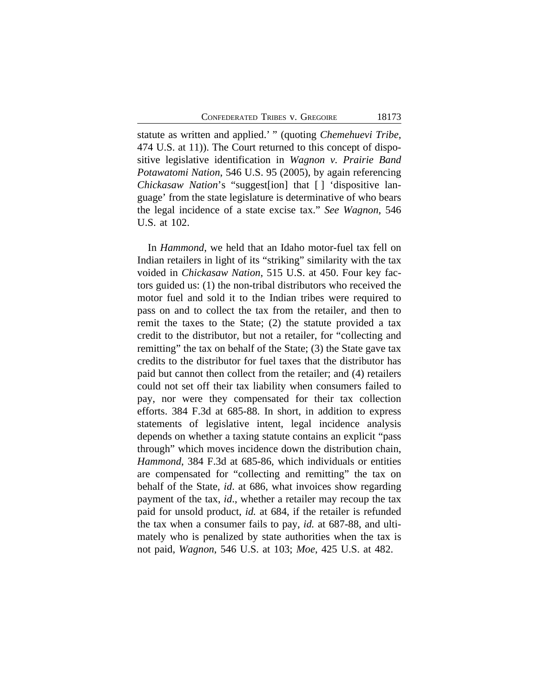statute as written and applied.' " (quoting *Chemehuevi Tribe*, 474 U.S. at 11)). The Court returned to this concept of dispositive legislative identification in *Wagnon v. Prairie Band Potawatomi Nation*, 546 U.S. 95 (2005), by again referencing *Chickasaw Nation*'s "suggest[ion] that [] 'dispositive language' from the state legislature is determinative of who bears the legal incidence of a state excise tax." *See Wagnon*, 546 U.S. at 102.

In *Hammond*, we held that an Idaho motor-fuel tax fell on Indian retailers in light of its "striking" similarity with the tax voided in *Chickasaw Nation*, 515 U.S. at 450. Four key factors guided us: (1) the non-tribal distributors who received the motor fuel and sold it to the Indian tribes were required to pass on and to collect the tax from the retailer, and then to remit the taxes to the State; (2) the statute provided a tax credit to the distributor, but not a retailer, for "collecting and remitting" the tax on behalf of the State; (3) the State gave tax credits to the distributor for fuel taxes that the distributor has paid but cannot then collect from the retailer; and (4) retailers could not set off their tax liability when consumers failed to pay, nor were they compensated for their tax collection efforts. 384 F.3d at 685-88. In short, in addition to express statements of legislative intent, legal incidence analysis depends on whether a taxing statute contains an explicit "pass through" which moves incidence down the distribution chain, *Hammond*, 384 F.3d at 685-86, which individuals or entities are compensated for "collecting and remitting" the tax on behalf of the State, *id*. at 686, what invoices show regarding payment of the tax, *id*., whether a retailer may recoup the tax paid for unsold product, *id.* at 684, if the retailer is refunded the tax when a consumer fails to pay, *id.* at 687-88, and ultimately who is penalized by state authorities when the tax is not paid, *Wagnon*, 546 U.S. at 103; *Moe*, 425 U.S. at 482.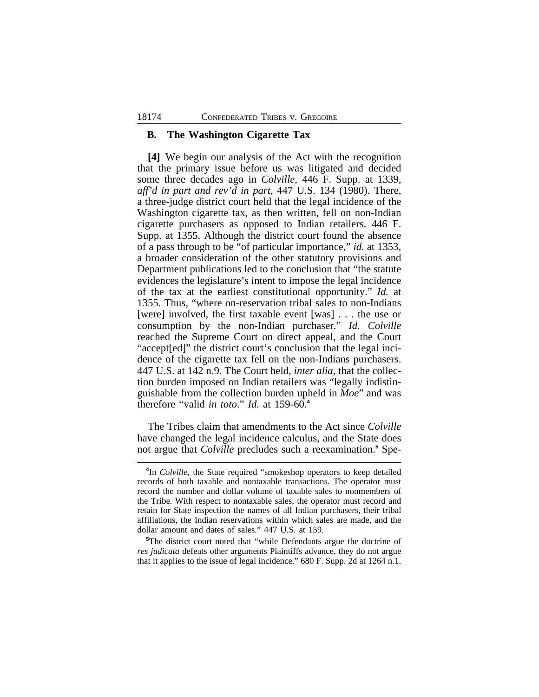#### **B. The Washington Cigarette Tax**

**[4]** We begin our analysis of the Act with the recognition that the primary issue before us was litigated and decided some three decades ago in *Colville*, 446 F. Supp. at 1339, *aff'd in part and rev'd in part*, 447 U.S. 134 (1980). There, a three-judge district court held that the legal incidence of the Washington cigarette tax, as then written, fell on non-Indian cigarette purchasers as opposed to Indian retailers. 446 F. Supp. at 1355. Although the district court found the absence of a pass through to be "of particular importance," *id.* at 1353, a broader consideration of the other statutory provisions and Department publications led to the conclusion that "the statute evidences the legislature's intent to impose the legal incidence of the tax at the earliest constitutional opportunity." *Id.* at 1355. Thus, "where on-reservation tribal sales to non-Indians [were] involved, the first taxable event [was] . . . the use or consumption by the non-Indian purchaser." *Id. Colville* reached the Supreme Court on direct appeal, and the Court "accept[ed]" the district court's conclusion that the legal incidence of the cigarette tax fell on the non-Indians purchasers. 447 U.S. at 142 n.9. The Court held, *inter alia*, that the collection burden imposed on Indian retailers was "legally indistinguishable from the collection burden upheld in *Moe*" and was therefore "valid *in toto*." *Id.* at 159-60.**<sup>4</sup>**

The Tribes claim that amendments to the Act since *Colville* have changed the legal incidence calculus, and the State does not argue that *Colville* precludes such a reexamination.**<sup>5</sup>** Spe-

**<sup>4</sup>** In *Colville*, the State required "smokeshop operators to keep detailed records of both taxable and nontaxable transactions. The operator must record the number and dollar volume of taxable sales to nonmembers of the Tribe. With respect to nontaxable sales, the operator must record and retain for State inspection the names of all Indian purchasers, their tribal affiliations, the Indian reservations within which sales are made, and the dollar amount and dates of sales." 447 U.S. at 159.

**<sup>5</sup>**The district court noted that "while Defendants argue the doctrine of *res judicata* defeats other arguments Plaintiffs advance, they do not argue that it applies to the issue of legal incidence." 680 F. Supp. 2d at 1264 n.1.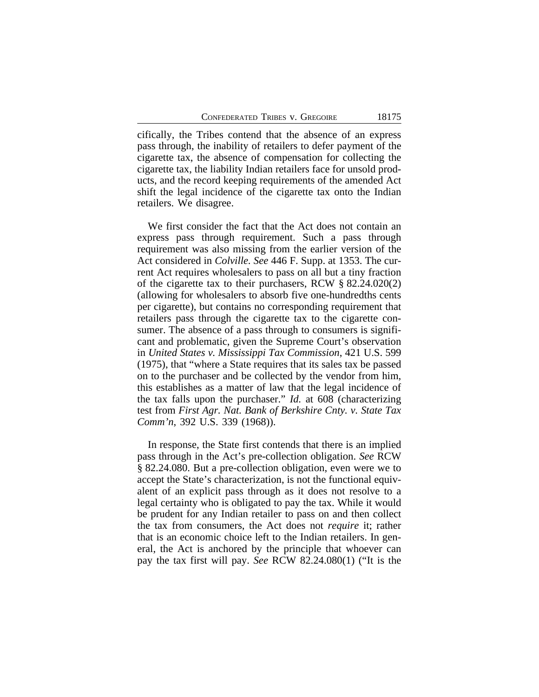cifically, the Tribes contend that the absence of an express pass through, the inability of retailers to defer payment of the cigarette tax, the absence of compensation for collecting the cigarette tax, the liability Indian retailers face for unsold products, and the record keeping requirements of the amended Act shift the legal incidence of the cigarette tax onto the Indian retailers. We disagree.

We first consider the fact that the Act does not contain an express pass through requirement. Such a pass through requirement was also missing from the earlier version of the Act considered in *Colville. See* 446 F. Supp. at 1353. The current Act requires wholesalers to pass on all but a tiny fraction of the cigarette tax to their purchasers, RCW § 82.24.020(2) (allowing for wholesalers to absorb five one-hundredths cents per cigarette), but contains no corresponding requirement that retailers pass through the cigarette tax to the cigarette consumer. The absence of a pass through to consumers is significant and problematic, given the Supreme Court's observation in *United States v. Mississippi Tax Commission*, 421 U.S. 599 (1975), that "where a State requires that its sales tax be passed on to the purchaser and be collected by the vendor from him, this establishes as a matter of law that the legal incidence of the tax falls upon the purchaser." *Id.* at 608 (characterizing test from *First Agr. Nat. Bank of Berkshire Cnty. v. State Tax Comm'n*, 392 U.S. 339 (1968)).

In response, the State first contends that there is an implied pass through in the Act's pre-collection obligation. *See* RCW § 82.24.080. But a pre-collection obligation, even were we to accept the State's characterization, is not the functional equivalent of an explicit pass through as it does not resolve to a legal certainty who is obligated to pay the tax. While it would be prudent for any Indian retailer to pass on and then collect the tax from consumers, the Act does not *require* it; rather that is an economic choice left to the Indian retailers. In general, the Act is anchored by the principle that whoever can pay the tax first will pay. *See* RCW 82.24.080(1) ("It is the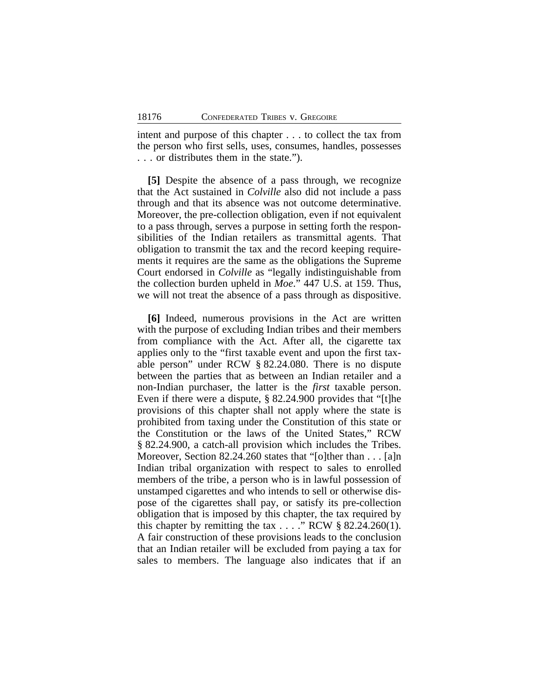intent and purpose of this chapter . . . to collect the tax from the person who first sells, uses, consumes, handles, possesses . . . or distributes them in the state.").

**[5]** Despite the absence of a pass through, we recognize that the Act sustained in *Colville* also did not include a pass through and that its absence was not outcome determinative. Moreover, the pre-collection obligation, even if not equivalent to a pass through, serves a purpose in setting forth the responsibilities of the Indian retailers as transmittal agents. That obligation to transmit the tax and the record keeping requirements it requires are the same as the obligations the Supreme Court endorsed in *Colville* as "legally indistinguishable from the collection burden upheld in *Moe*." 447 U.S. at 159. Thus, we will not treat the absence of a pass through as dispositive.

**[6]** Indeed, numerous provisions in the Act are written with the purpose of excluding Indian tribes and their members from compliance with the Act. After all, the cigarette tax applies only to the "first taxable event and upon the first taxable person" under RCW § 82.24.080. There is no dispute between the parties that as between an Indian retailer and a non-Indian purchaser, the latter is the *first* taxable person. Even if there were a dispute, § 82.24.900 provides that "[t]he provisions of this chapter shall not apply where the state is prohibited from taxing under the Constitution of this state or the Constitution or the laws of the United States," RCW § 82.24.900, a catch-all provision which includes the Tribes. Moreover, Section 82.24.260 states that "[o]ther than . . . [a]n Indian tribal organization with respect to sales to enrolled members of the tribe, a person who is in lawful possession of unstamped cigarettes and who intends to sell or otherwise dispose of the cigarettes shall pay, or satisfy its pre-collection obligation that is imposed by this chapter, the tax required by this chapter by remitting the tax  $\dots$  " RCW § 82.24.260(1). A fair construction of these provisions leads to the conclusion that an Indian retailer will be excluded from paying a tax for sales to members. The language also indicates that if an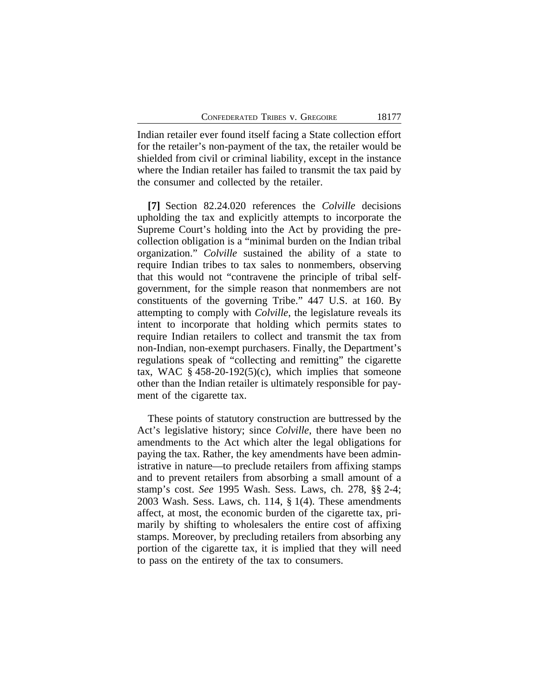Indian retailer ever found itself facing a State collection effort for the retailer's non-payment of the tax, the retailer would be shielded from civil or criminal liability, except in the instance where the Indian retailer has failed to transmit the tax paid by the consumer and collected by the retailer.

**[7]** Section 82.24.020 references the *Colville* decisions upholding the tax and explicitly attempts to incorporate the Supreme Court's holding into the Act by providing the precollection obligation is a "minimal burden on the Indian tribal organization." *Colville* sustained the ability of a state to require Indian tribes to tax sales to nonmembers, observing that this would not "contravene the principle of tribal selfgovernment, for the simple reason that nonmembers are not constituents of the governing Tribe." 447 U.S. at 160. By attempting to comply with *Colville*, the legislature reveals its intent to incorporate that holding which permits states to require Indian retailers to collect and transmit the tax from non-Indian, non-exempt purchasers. Finally, the Department's regulations speak of "collecting and remitting" the cigarette tax, WAC  $\S$  458-20-192(5)(c), which implies that someone other than the Indian retailer is ultimately responsible for payment of the cigarette tax.

These points of statutory construction are buttressed by the Act's legislative history; since *Colville*, there have been no amendments to the Act which alter the legal obligations for paying the tax. Rather, the key amendments have been administrative in nature—to preclude retailers from affixing stamps and to prevent retailers from absorbing a small amount of a stamp's cost. *See* 1995 Wash. Sess. Laws, ch. 278, §§ 2-4; 2003 Wash. Sess. Laws, ch. 114, § 1(4). These amendments affect, at most, the economic burden of the cigarette tax, primarily by shifting to wholesalers the entire cost of affixing stamps. Moreover, by precluding retailers from absorbing any portion of the cigarette tax, it is implied that they will need to pass on the entirety of the tax to consumers.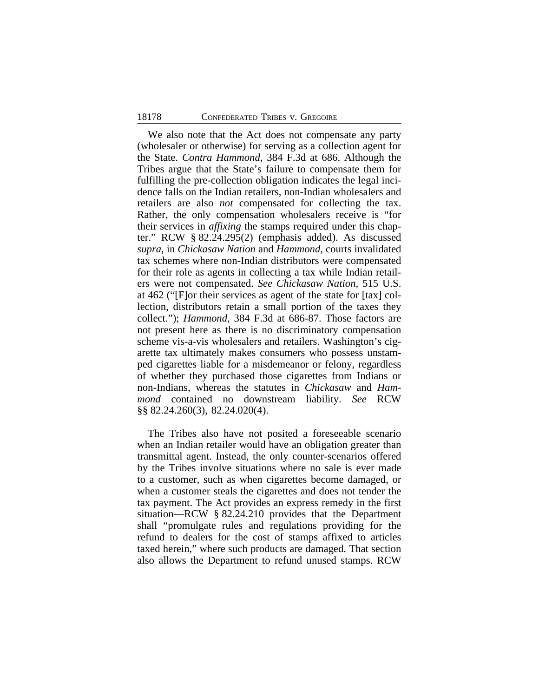We also note that the Act does not compensate any party (wholesaler or otherwise) for serving as a collection agent for the State. *Contra Hammond*, 384 F.3d at 686. Although the Tribes argue that the State's failure to compensate them for fulfilling the pre-collection obligation indicates the legal incidence falls on the Indian retailers, non-Indian wholesalers and retailers are also *not* compensated for collecting the tax. Rather, the only compensation wholesalers receive is "for their services in *affixing* the stamps required under this chapter." RCW § 82.24.295(2) (emphasis added). As discussed *supra*, in *Chickasaw Nation* and *Hammond*, courts invalidated tax schemes where non-Indian distributors were compensated for their role as agents in collecting a tax while Indian retailers were not compensated. *See Chickasaw Nation*, 515 U.S. at 462 ("[F]or their services as agent of the state for [tax] collection, distributors retain a small portion of the taxes they collect."); *Hammond*, 384 F.3d at 686-87. Those factors are not present here as there is no discriminatory compensation scheme vis-a-vis wholesalers and retailers. Washington's cigarette tax ultimately makes consumers who possess unstamped cigarettes liable for a misdemeanor or felony, regardless of whether they purchased those cigarettes from Indians or non-Indians, whereas the statutes in *Chickasaw* and *Hammond* contained no downstream liability. *See* RCW §§ 82.24.260(3), 82.24.020(4).

The Tribes also have not posited a foreseeable scenario when an Indian retailer would have an obligation greater than transmittal agent. Instead, the only counter-scenarios offered by the Tribes involve situations where no sale is ever made to a customer, such as when cigarettes become damaged, or when a customer steals the cigarettes and does not tender the tax payment. The Act provides an express remedy in the first situation—RCW § 82.24.210 provides that the Department shall "promulgate rules and regulations providing for the refund to dealers for the cost of stamps affixed to articles taxed herein," where such products are damaged. That section also allows the Department to refund unused stamps. RCW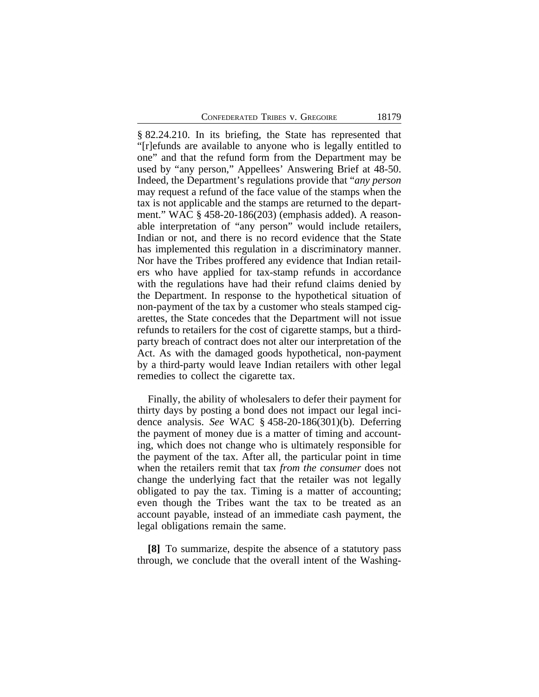§ 82.24.210. In its briefing, the State has represented that "[r]efunds are available to anyone who is legally entitled to one" and that the refund form from the Department may be used by "any person," Appellees' Answering Brief at 48-50. Indeed, the Department's regulations provide that "*any person* may request a refund of the face value of the stamps when the tax is not applicable and the stamps are returned to the department." WAC § 458-20-186(203) (emphasis added). A reasonable interpretation of "any person" would include retailers, Indian or not, and there is no record evidence that the State has implemented this regulation in a discriminatory manner. Nor have the Tribes proffered any evidence that Indian retailers who have applied for tax-stamp refunds in accordance with the regulations have had their refund claims denied by the Department. In response to the hypothetical situation of non-payment of the tax by a customer who steals stamped cigarettes, the State concedes that the Department will not issue refunds to retailers for the cost of cigarette stamps, but a thirdparty breach of contract does not alter our interpretation of the Act. As with the damaged goods hypothetical, non-payment by a third-party would leave Indian retailers with other legal remedies to collect the cigarette tax.

Finally, the ability of wholesalers to defer their payment for thirty days by posting a bond does not impact our legal incidence analysis. *See* WAC § 458-20-186(301)(b). Deferring the payment of money due is a matter of timing and accounting, which does not change who is ultimately responsible for the payment of the tax. After all, the particular point in time when the retailers remit that tax *from the consumer* does not change the underlying fact that the retailer was not legally obligated to pay the tax. Timing is a matter of accounting; even though the Tribes want the tax to be treated as an account payable, instead of an immediate cash payment, the legal obligations remain the same.

**[8]** To summarize, despite the absence of a statutory pass through, we conclude that the overall intent of the Washing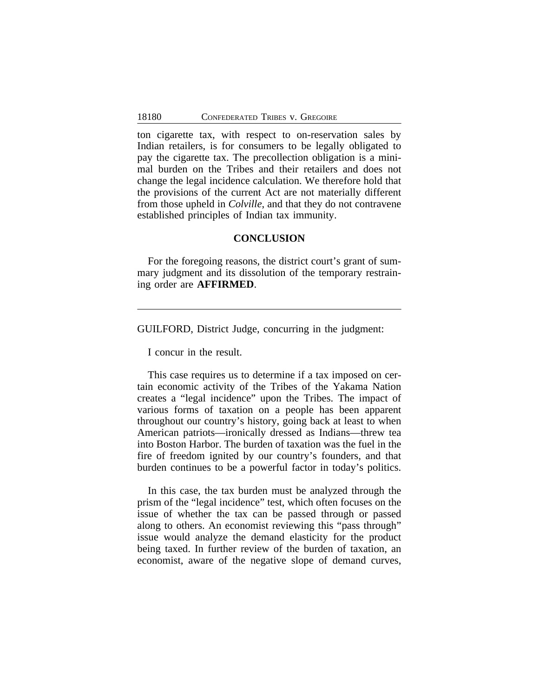ton cigarette tax, with respect to on-reservation sales by Indian retailers, is for consumers to be legally obligated to pay the cigarette tax. The precollection obligation is a minimal burden on the Tribes and their retailers and does not change the legal incidence calculation. We therefore hold that the provisions of the current Act are not materially different from those upheld in *Colville*, and that they do not contravene established principles of Indian tax immunity.

## **CONCLUSION**

For the foregoing reasons, the district court's grant of summary judgment and its dissolution of the temporary restraining order are **AFFIRMED**.

GUILFORD, District Judge, concurring in the judgment:

I concur in the result.

This case requires us to determine if a tax imposed on certain economic activity of the Tribes of the Yakama Nation creates a "legal incidence" upon the Tribes. The impact of various forms of taxation on a people has been apparent throughout our country's history, going back at least to when American patriots—ironically dressed as Indians—threw tea into Boston Harbor. The burden of taxation was the fuel in the fire of freedom ignited by our country's founders, and that burden continues to be a powerful factor in today's politics.

In this case, the tax burden must be analyzed through the prism of the "legal incidence" test, which often focuses on the issue of whether the tax can be passed through or passed along to others. An economist reviewing this "pass through" issue would analyze the demand elasticity for the product being taxed. In further review of the burden of taxation, an economist, aware of the negative slope of demand curves,